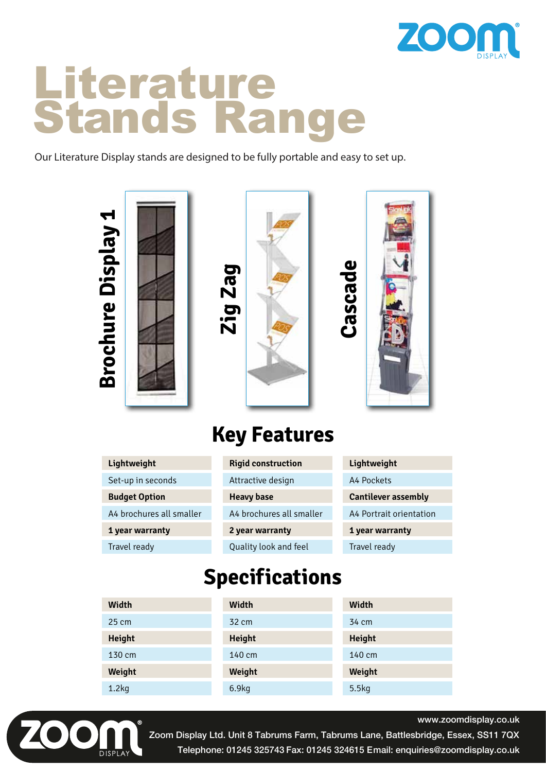

# Literature Stands Range

Our Literature Display stands are designed to be fully portable and easy to set up.



### **Key Features**

| Lightweight              | <b>Rigid construction</b> | Lightweight                |
|--------------------------|---------------------------|----------------------------|
| Set-up in seconds        | Attractive design         | A4 Pockets                 |
| <b>Budget Option</b>     | <b>Heavy base</b>         | <b>Cantilever assembly</b> |
| A4 brochures all smaller | A4 brochures all smaller  | A4 Portrait orientation    |
| 1 year warranty          | 2 year warranty           | 1 year warranty            |
| Travel ready             | Quality look and feel     | Travel ready               |

### **Specifications**

| Width           | Width         | Width         |
|-----------------|---------------|---------------|
| $25 \text{ cm}$ | 32 cm         | 34 cm         |
| <b>Height</b>   | <b>Height</b> | <b>Height</b> |
| 130 cm          | 140 cm        | 140 cm        |
| Weight          | Weight        | Weight        |
| 1.2kg           | 6.9kg         | 5.5kg         |



www.zoomdisplay.co.uk

Zoom Display Ltd. Unit 8 Tabrums Farm, Tabrums Lane, Battlesbridge, Essex, SS11 7QX Telephone: 01245 325743 Fax: 01245 324615 Email: enquiries@zoomdisplay.co.uk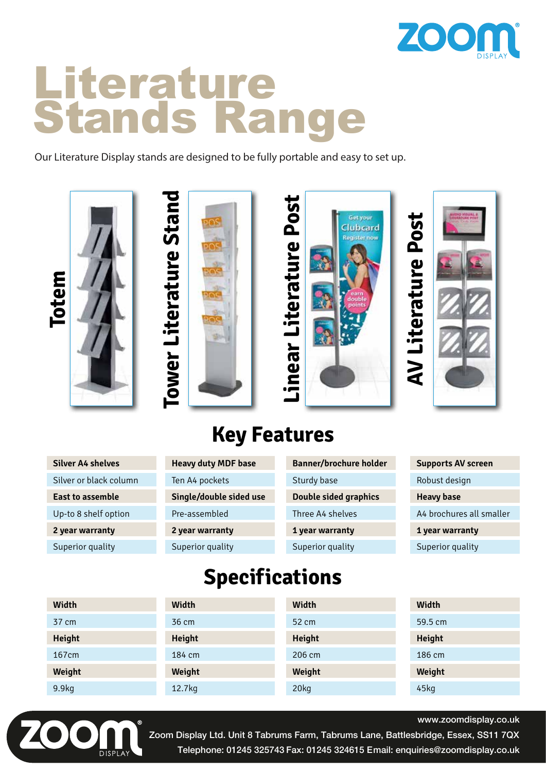

# Literature Stands Range

Our Literature Display stands are designed to be fully portable and easy to set up.









### **Key Features**

| <b>Silver A4 shelves</b> |  |
|--------------------------|--|
| Silver or black column   |  |
| <b>East to assemble</b>  |  |
| Up-to 8 shelf option     |  |
| 2 year warranty          |  |
| Superior quality         |  |

| <b>Heavy duty MDF base</b> |
|----------------------------|
| Ten A4 pockets             |
| Single/double sided use    |
| Pre-assembled              |
| 2 year warranty            |
| Superior quality           |

| <b>Banner/brochure holder</b> |
|-------------------------------|
| Sturdy base                   |
| <b>Double sided graphics</b>  |
| Three A4 shelves              |
| 1 year warranty               |
| Superior quality              |

| <b>Supports AV screen</b> |  |
|---------------------------|--|
| Robust design             |  |
| <b>Heavy base</b>         |  |
| A4 brochures all smaller  |  |
| 1 year warranty           |  |
| Superior quality          |  |

### **Specifications**

| Width         | Width         | Width         | Width         |
|---------------|---------------|---------------|---------------|
| 37 cm         | 36 cm         | 52 cm         | 59.5 cm       |
| <b>Height</b> | <b>Height</b> | <b>Height</b> | <b>Height</b> |
| 167cm         | 184 cm        | 206 cm        | 186 cm        |
| Weight        | Weight        | Weight        | Weight        |
| 9.9kg         | 12.7kg        | 20kg          | 45kg          |



www.zoomdisplay.co.uk

Zoom Display Ltd. Unit 8 Tabrums Farm, Tabrums Lane, Battlesbridge, Essex, SS11 7QX Telephone: 01245 325743 Fax: 01245 324615 Email: enquiries@zoomdisplay.co.uk